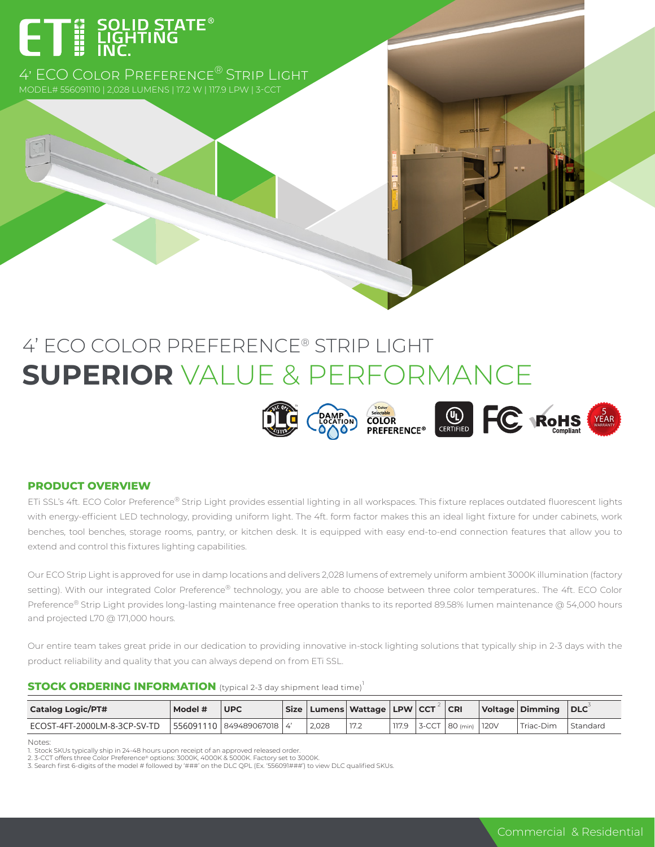# ET E SOLID STATE<sup>®</sup>

4' ECO Color Preference® Strip Light

## 4' ECO COLOR PREFERENCE® STRIP LIGHT **SUPERIOR** VALUE & PERFORMANCE



#### **PRODUCT OVERVIEW**

ETi SSL's 4ft. ECO Color Preference® Strip Light provides essential lighting in all workspaces. This fixture replaces outdated fluorescent lights with energy-efficient LED technology, providing uniform light. The 4ft. form factor makes this an ideal light fixture for under cabinets, work benches, tool benches, storage rooms, pantry, or kitchen desk. It is equipped with easy end-to-end connection features that allow you to extend and control this fixtures lighting capabilities.

Our ECO Strip Light is approved for use in damp locations and delivers 2,028 lumens of extremely uniform ambient 3000K illumination (factory setting). With our integrated Color Preference® technology, you are able to choose between three color temperatures.. The 4ft. ECO Color Preference® Strip Light provides long-lasting maintenance free operation thanks to its reported 89.58% lumen maintenance @ 54,000 hours and projected L70 @ 171,000 hours.

Our entire team takes great pride in our dedication to providing innovative in-stock lighting solutions that typically ship in 2-3 days with the product reliability and quality that you can always depend on from ETi SSL.

#### **STOCK ORDERING INFORMATION** (typical 2-3 day shipment lead time)<sup>1</sup>

| <b>Catalog Logic/PT#</b>     | Model # | <b>UPC</b> |       | Size   Lumens   Wattage   LPW   CCT |       |       | <b>CRI</b> |       | Voltage   Dimming | $ $ DLC  |
|------------------------------|---------|------------|-------|-------------------------------------|-------|-------|------------|-------|-------------------|----------|
| ECOST-4FT-2000LM-8-3CP-SV-TD |         |            | 2.028 | 17.2                                | 117.9 | 3-CCT | $80$ (min) | 1120V | Triac-Dim         | Standard |

Notes:

<sup>1.</sup> Stock SKUs typically ship in 24-48 hours upon receipt of an approved released order.<br>2. 3-CCT offers three Color Preference® options: 3000K, 4000K & 5000K. Factory set to 3000K.<br>3. Search first 6-digits of the model #